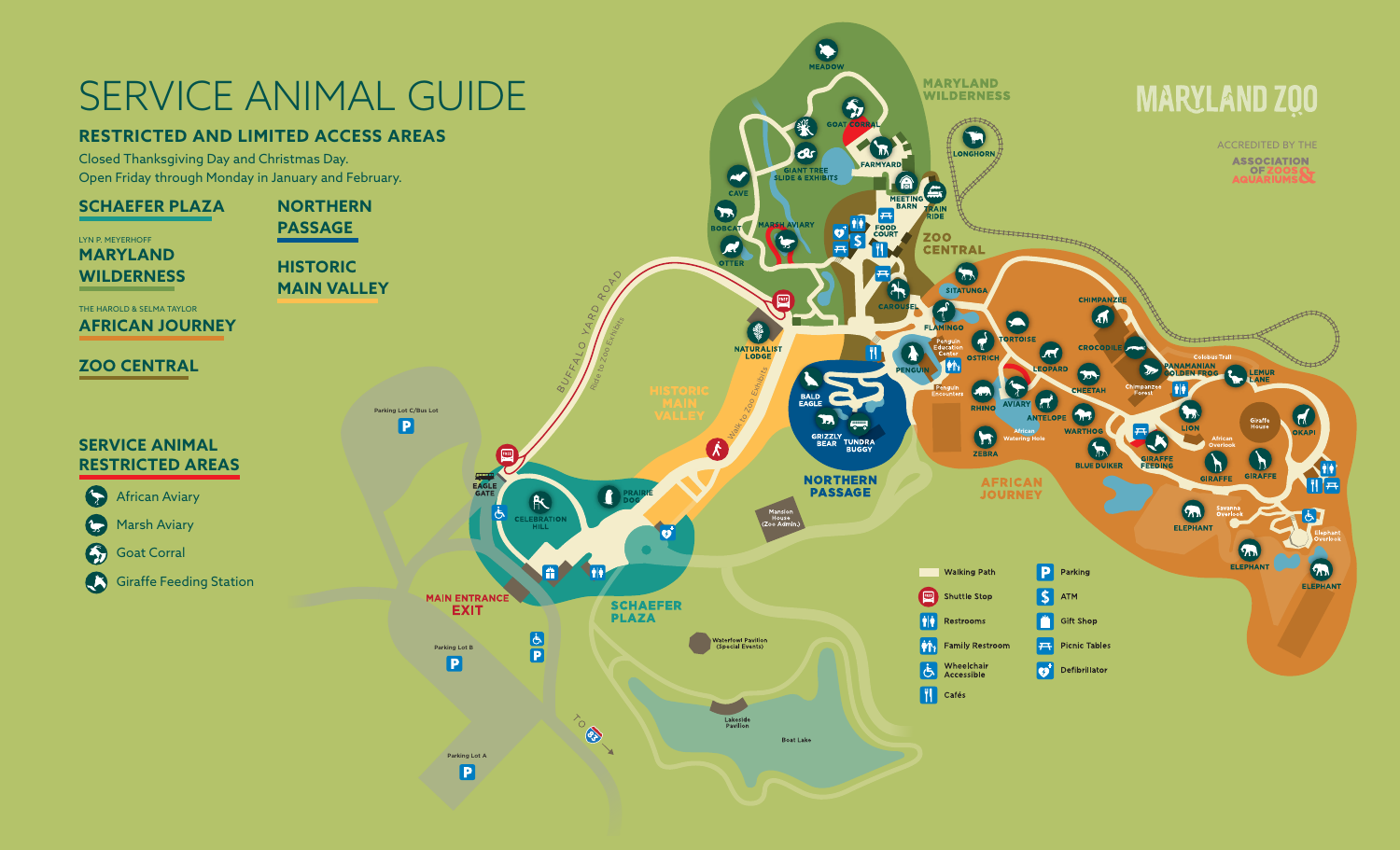